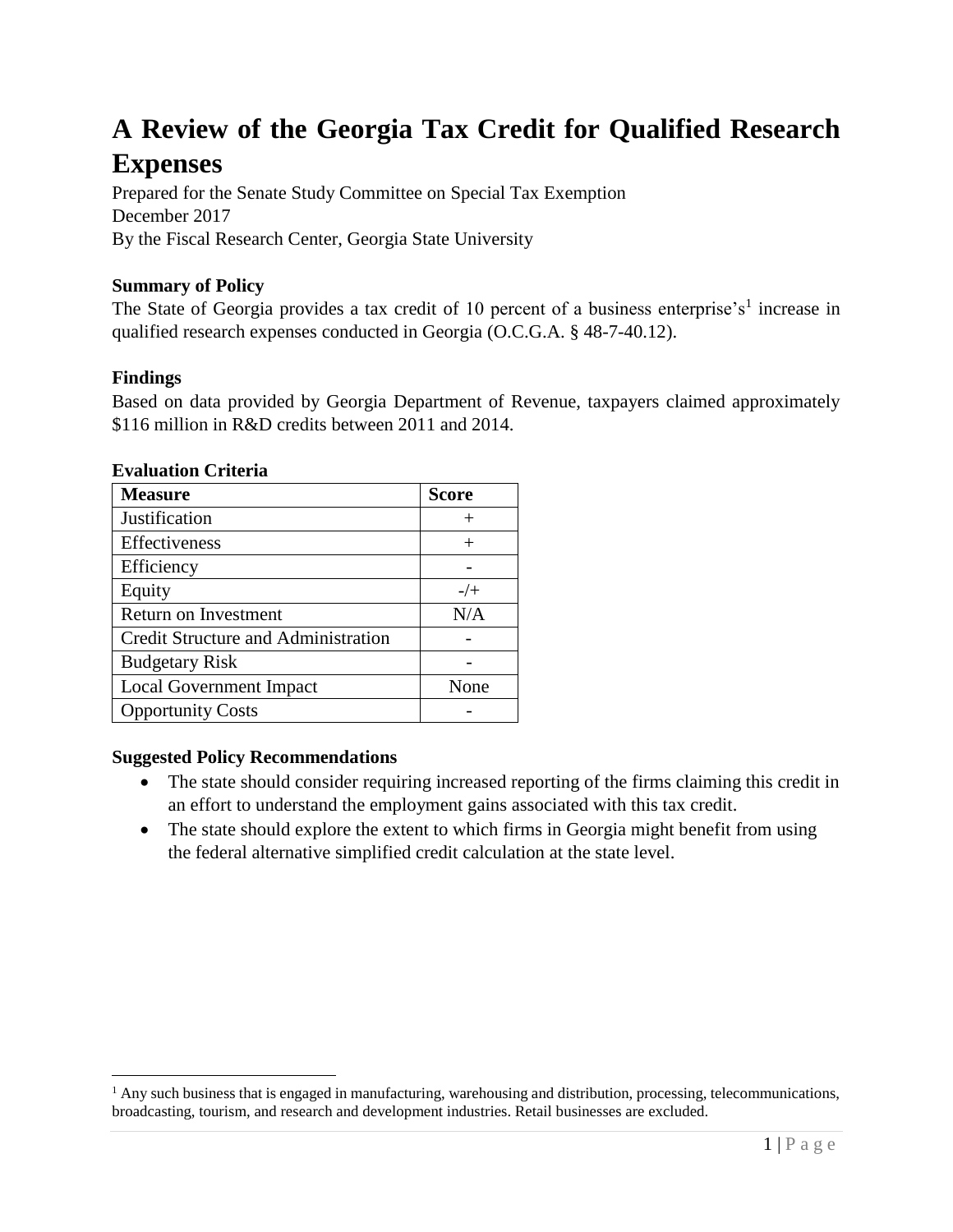# **A Review of the Georgia Tax Credit for Qualified Research Expenses**

Prepared for the Senate Study Committee on Special Tax Exemption December 2017 By the Fiscal Research Center, Georgia State University

# **Summary of Policy**

The State of Georgia provides a tax credit of 10 percent of a business enterprise's<sup>1</sup> increase in qualified research expenses conducted in Georgia (O.C.G.A. § 48-7-40.12).

# **Findings**

 $\overline{a}$ 

Based on data provided by Georgia Department of Revenue, taxpayers claimed approximately \$116 million in R&D credits between 2011 and 2014.

| <b>Measure</b>                      | <b>Score</b> |
|-------------------------------------|--------------|
| Justification                       |              |
| Effectiveness                       | $^+$         |
| Efficiency                          |              |
| Equity                              | $-/-$        |
| Return on Investment                | N/A          |
| Credit Structure and Administration |              |
| <b>Budgetary Risk</b>               |              |
| <b>Local Government Impact</b>      | None         |
| <b>Opportunity Costs</b>            |              |

## **Evaluation Criteria**

### **Suggested Policy Recommendations**

- The state should consider requiring increased reporting of the firms claiming this credit in an effort to understand the employment gains associated with this tax credit.
- The state should explore the extent to which firms in Georgia might benefit from using the federal alternative simplified credit calculation at the state level.

<sup>&</sup>lt;sup>1</sup> Any such business that is engaged in manufacturing, warehousing and distribution, processing, telecommunications, broadcasting, tourism, and research and development industries. Retail businesses are excluded.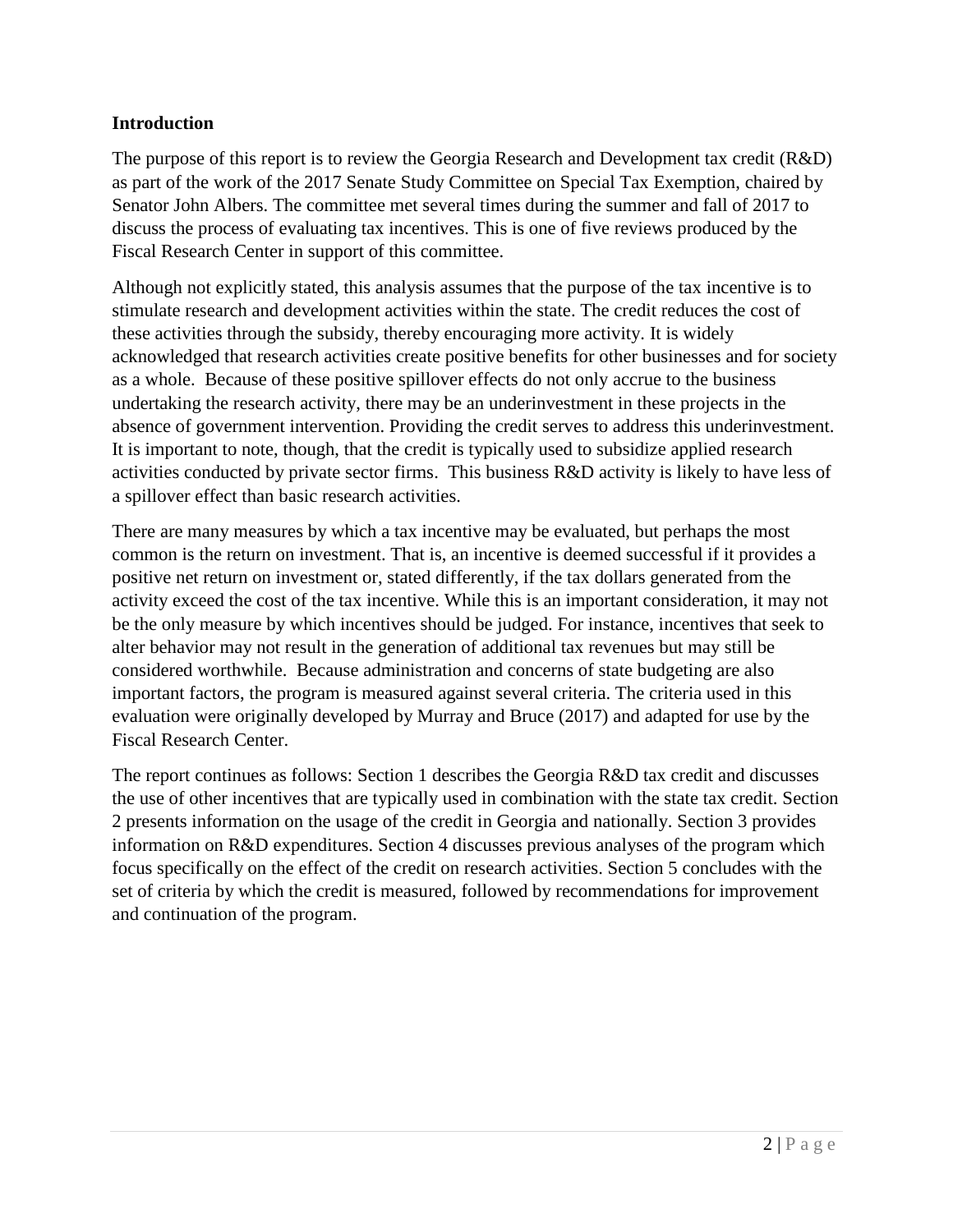## **Introduction**

The purpose of this report is to review the Georgia Research and Development tax credit (R&D) as part of the work of the 2017 Senate Study Committee on Special Tax Exemption, chaired by Senator John Albers. The committee met several times during the summer and fall of 2017 to discuss the process of evaluating tax incentives. This is one of five reviews produced by the Fiscal Research Center in support of this committee.

Although not explicitly stated, this analysis assumes that the purpose of the tax incentive is to stimulate research and development activities within the state. The credit reduces the cost of these activities through the subsidy, thereby encouraging more activity. It is widely acknowledged that research activities create positive benefits for other businesses and for society as a whole. Because of these positive spillover effects do not only accrue to the business undertaking the research activity, there may be an underinvestment in these projects in the absence of government intervention. Providing the credit serves to address this underinvestment. It is important to note, though, that the credit is typically used to subsidize applied research activities conducted by private sector firms. This business R&D activity is likely to have less of a spillover effect than basic research activities.

There are many measures by which a tax incentive may be evaluated, but perhaps the most common is the return on investment. That is, an incentive is deemed successful if it provides a positive net return on investment or, stated differently, if the tax dollars generated from the activity exceed the cost of the tax incentive. While this is an important consideration, it may not be the only measure by which incentives should be judged. For instance, incentives that seek to alter behavior may not result in the generation of additional tax revenues but may still be considered worthwhile. Because administration and concerns of state budgeting are also important factors, the program is measured against several criteria. The criteria used in this evaluation were originally developed by Murray and Bruce (2017) and adapted for use by the Fiscal Research Center.

The report continues as follows: Section 1 describes the Georgia R&D tax credit and discusses the use of other incentives that are typically used in combination with the state tax credit. Section 2 presents information on the usage of the credit in Georgia and nationally. Section 3 provides information on R&D expenditures. Section 4 discusses previous analyses of the program which focus specifically on the effect of the credit on research activities. Section 5 concludes with the set of criteria by which the credit is measured, followed by recommendations for improvement and continuation of the program.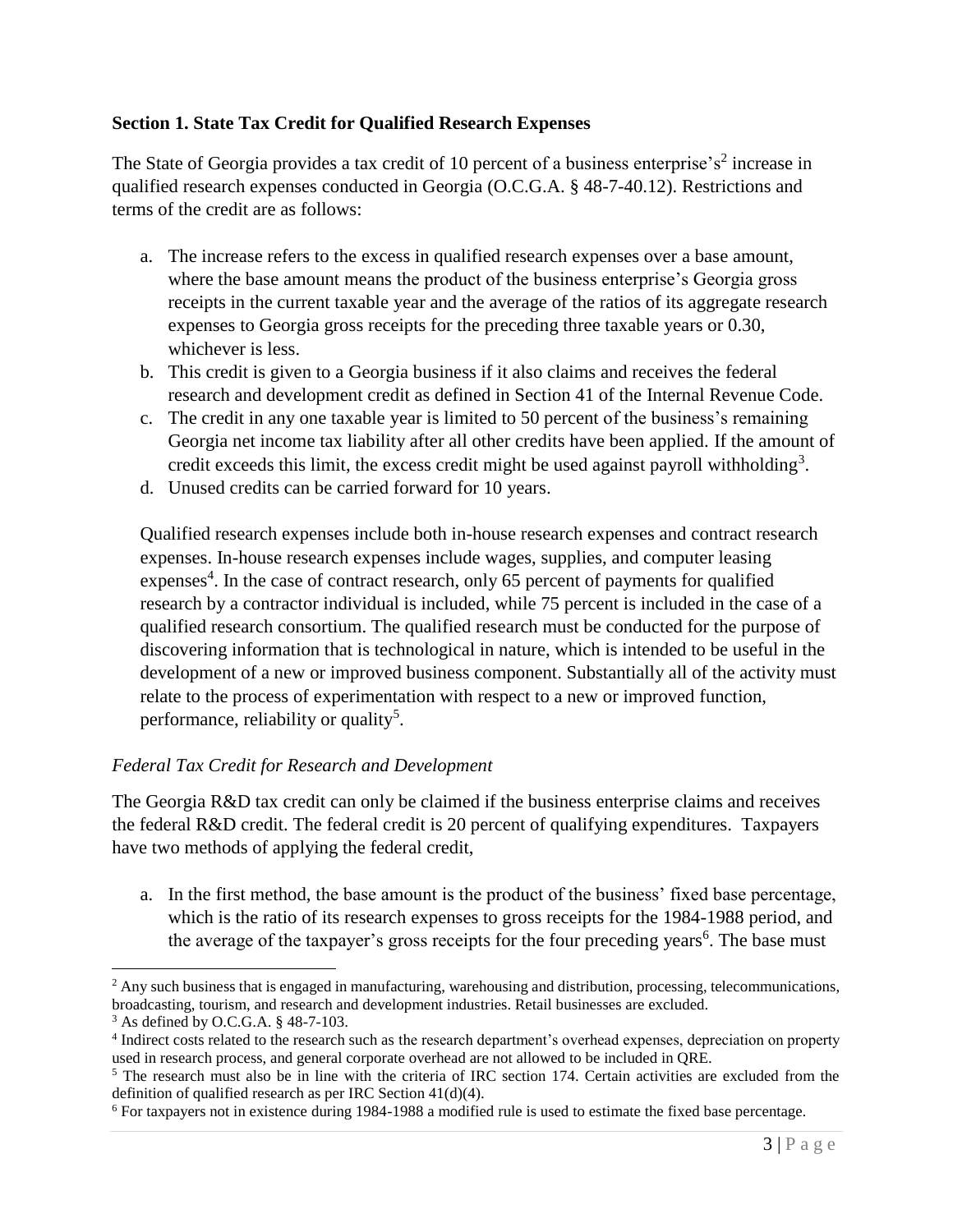## **Section 1. State Tax Credit for Qualified Research Expenses**

The State of Georgia provides a tax credit of 10 percent of a business enterprise's<sup>2</sup> increase in qualified research expenses conducted in Georgia (O.C.G.A. § 48-7-40.12). Restrictions and terms of the credit are as follows:

- a. The increase refers to the excess in qualified research expenses over a base amount, where the base amount means the product of the business enterprise's Georgia gross receipts in the current taxable year and the average of the ratios of its aggregate research expenses to Georgia gross receipts for the preceding three taxable years or 0.30, whichever is less.
- b. This credit is given to a Georgia business if it also claims and receives the federal research and development credit as defined in Section 41 of the Internal Revenue Code.
- c. The credit in any one taxable year is limited to 50 percent of the business's remaining Georgia net income tax liability after all other credits have been applied. If the amount of credit exceeds this limit, the excess credit might be used against payroll withholding<sup>3</sup>.
- d. Unused credits can be carried forward for 10 years.

Qualified research expenses include both in-house research expenses and contract research expenses. In-house research expenses include wages, supplies, and computer leasing expenses<sup>4</sup>. In the case of contract research, only 65 percent of payments for qualified research by a contractor individual is included, while 75 percent is included in the case of a qualified research consortium. The qualified research must be conducted for the purpose of discovering information that is technological in nature, which is intended to be useful in the development of a new or improved business component. Substantially all of the activity must relate to the process of experimentation with respect to a new or improved function, performance, reliability or quality<sup>5</sup>.

## *Federal Tax Credit for Research and Development*

The Georgia R&D tax credit can only be claimed if the business enterprise claims and receives the federal R&D credit. The federal credit is 20 percent of qualifying expenditures. Taxpayers have two methods of applying the federal credit,

a. In the first method, the base amount is the product of the business' fixed base percentage, which is the ratio of its research expenses to gross receipts for the 1984-1988 period, and the average of the taxpayer's gross receipts for the four preceding years<sup>6</sup>. The base must

 $\overline{a}$ 

 $<sup>2</sup>$  Any such business that is engaged in manufacturing, warehousing and distribution, processing, telecommunications,</sup> broadcasting, tourism, and research and development industries. Retail businesses are excluded.

<sup>3</sup> As defined by O.C.G.A. § 48-7-103.

<sup>&</sup>lt;sup>4</sup> Indirect costs related to the research such as the research department's overhead expenses, depreciation on property used in research process, and general corporate overhead are not allowed to be included in QRE.

<sup>&</sup>lt;sup>5</sup> The research must also be in line with the criteria of IRC section 174. Certain activities are excluded from the definition of qualified research as per IRC Section 41(d)(4).

<sup>6</sup> For taxpayers not in existence during 1984-1988 a modified rule is used to estimate the fixed base percentage.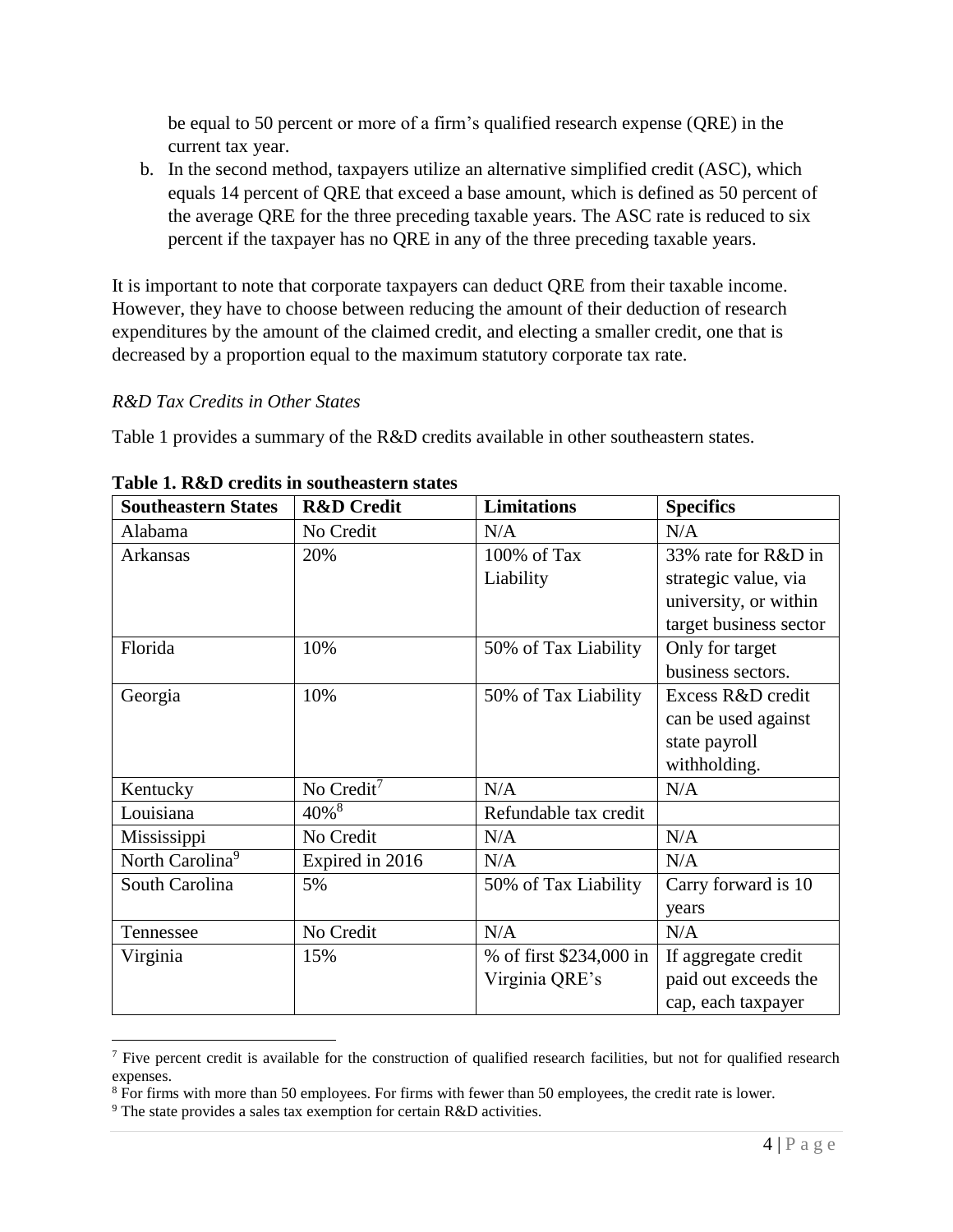be equal to 50 percent or more of a firm's qualified research expense (QRE) in the current tax year.

b. In the second method, taxpayers utilize an alternative simplified credit (ASC), which equals 14 percent of QRE that exceed a base amount, which is defined as 50 percent of the average QRE for the three preceding taxable years. The ASC rate is reduced to six percent if the taxpayer has no QRE in any of the three preceding taxable years.

It is important to note that corporate taxpayers can deduct QRE from their taxable income. However, they have to choose between reducing the amount of their deduction of research expenditures by the amount of the claimed credit, and electing a smaller credit, one that is decreased by a proportion equal to the maximum statutory corporate tax rate.

# *R&D Tax Credits in Other States*

Table 1 provides a summary of the R&D credits available in other southeastern states.

| <b>Southeastern States</b>  | <b>R&amp;D</b> Credit | <b>Limitations</b>      | <b>Specifics</b>       |
|-----------------------------|-----------------------|-------------------------|------------------------|
| Alabama                     | No Credit             | N/A                     | N/A                    |
| Arkansas                    | 20%                   | 100% of Tax             | 33% rate for R&D in    |
|                             |                       | Liability               | strategic value, via   |
|                             |                       |                         | university, or within  |
|                             |                       |                         | target business sector |
| Florida                     | 10%                   | 50% of Tax Liability    | Only for target        |
|                             |                       |                         | business sectors.      |
| Georgia                     | 10%                   | 50% of Tax Liability    | Excess R&D credit      |
|                             |                       |                         | can be used against    |
|                             |                       |                         | state payroll          |
|                             |                       |                         | withholding.           |
| Kentucky                    | No Credit $7$         | N/A                     | N/A                    |
| Louisiana                   | $40\%$ <sup>8</sup>   | Refundable tax credit   |                        |
| Mississippi                 | No Credit             | N/A                     | N/A                    |
| North Carolina <sup>9</sup> | Expired in 2016       | N/A                     | N/A                    |
| South Carolina              | 5%                    | 50% of Tax Liability    | Carry forward is 10    |
|                             |                       |                         | years                  |
| Tennessee                   | No Credit             | N/A                     | N/A                    |
| Virginia                    | 15%                   | % of first \$234,000 in | If aggregate credit    |
|                             |                       | Virginia QRE's          | paid out exceeds the   |
|                             |                       |                         | cap, each taxpayer     |

**Table 1. R&D credits in southeastern states**

 $\overline{a}$ 

 $<sup>7</sup>$  Five percent credit is available for the construction of qualified research facilities, but not for qualified research</sup> expenses.

<sup>&</sup>lt;sup>8</sup> For firms with more than 50 employees. For firms with fewer than 50 employees, the credit rate is lower.

<sup>9</sup> The state provides a sales tax exemption for certain R&D activities.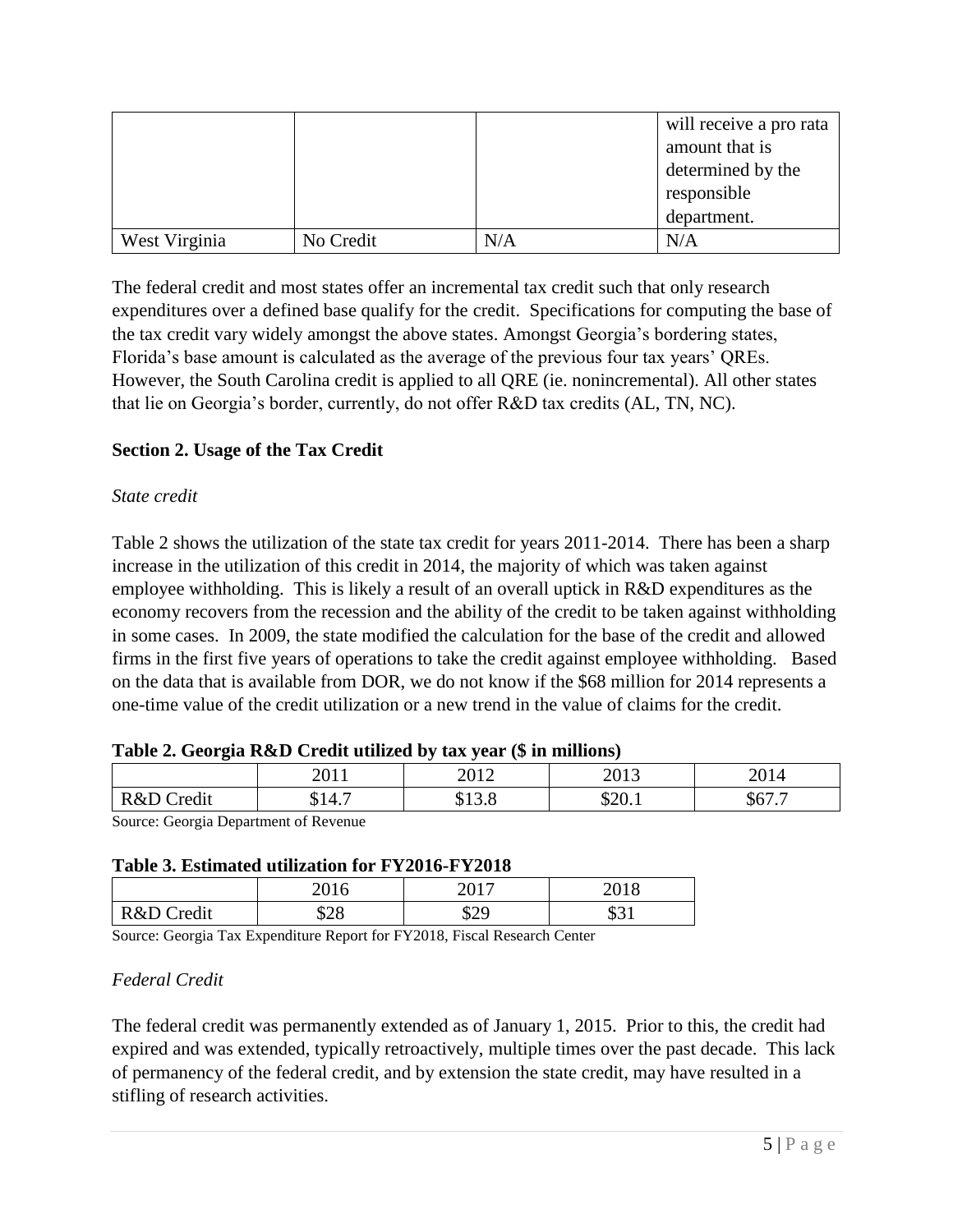|               |           |     | will receive a pro rata |
|---------------|-----------|-----|-------------------------|
|               |           |     | amount that is          |
|               |           |     | determined by the       |
|               |           |     | responsible             |
|               |           |     | department.             |
| West Virginia | No Credit | N/A | N/A                     |

The federal credit and most states offer an incremental tax credit such that only research expenditures over a defined base qualify for the credit. Specifications for computing the base of the tax credit vary widely amongst the above states. Amongst Georgia's bordering states, Florida's base amount is calculated as the average of the previous four tax years' QREs. However, the South Carolina credit is applied to all QRE (ie. nonincremental). All other states that lie on Georgia's border, currently, do not offer R&D tax credits (AL, TN, NC).

# **Section 2. Usage of the Tax Credit**

## *State credit*

Table 2 shows the utilization of the state tax credit for years 2011-2014. There has been a sharp increase in the utilization of this credit in 2014, the majority of which was taken against employee withholding. This is likely a result of an overall uptick in R&D expenditures as the economy recovers from the recession and the ability of the credit to be taken against withholding in some cases. In 2009, the state modified the calculation for the base of the credit and allowed firms in the first five years of operations to take the credit against employee withholding. Based on the data that is available from DOR, we do not know if the \$68 million for 2014 represents a one-time value of the credit utilization or a new trend in the value of claims for the credit.

### **Table 2. Georgia R&D Credit utilized by tax year (\$ in millions)**

| ຼ             |                                                             |                |               |                                               |
|---------------|-------------------------------------------------------------|----------------|---------------|-----------------------------------------------|
|               | 2011<br>40 I I                                              | 2012<br>2012   | 2012<br>ر د ن | 2014                                          |
| R&D<br>Credit | $\overline{\phantom{0}}$<br>$\boldsymbol{\Lambda}$<br>J14.7 | ሰ1 ኅ<br>V1.0.0 | \$20.1        | $\uparrow$ $\sim$ $\uparrow$<br>$\partial$ 0/ |
|               |                                                             |                |               |                                               |

Source: Georgia Department of Revenue

### **Table 3. Estimated utilization for FY2016-FY2018**

|            | 2016 | ንስ17       | 2010          |
|------------|------|------------|---------------|
|            | 2010 | - 7        | 2010          |
| R&D Credit | \$28 | ቲንር<br>のムラ | ሰኅ1<br>$QJ_1$ |

Source: Georgia Tax Expenditure Report for FY2018, Fiscal Research Center

## *Federal Credit*

The federal credit was permanently extended as of January 1, 2015. Prior to this, the credit had expired and was extended, typically retroactively, multiple times over the past decade. This lack of permanency of the federal credit, and by extension the state credit, may have resulted in a stifling of research activities.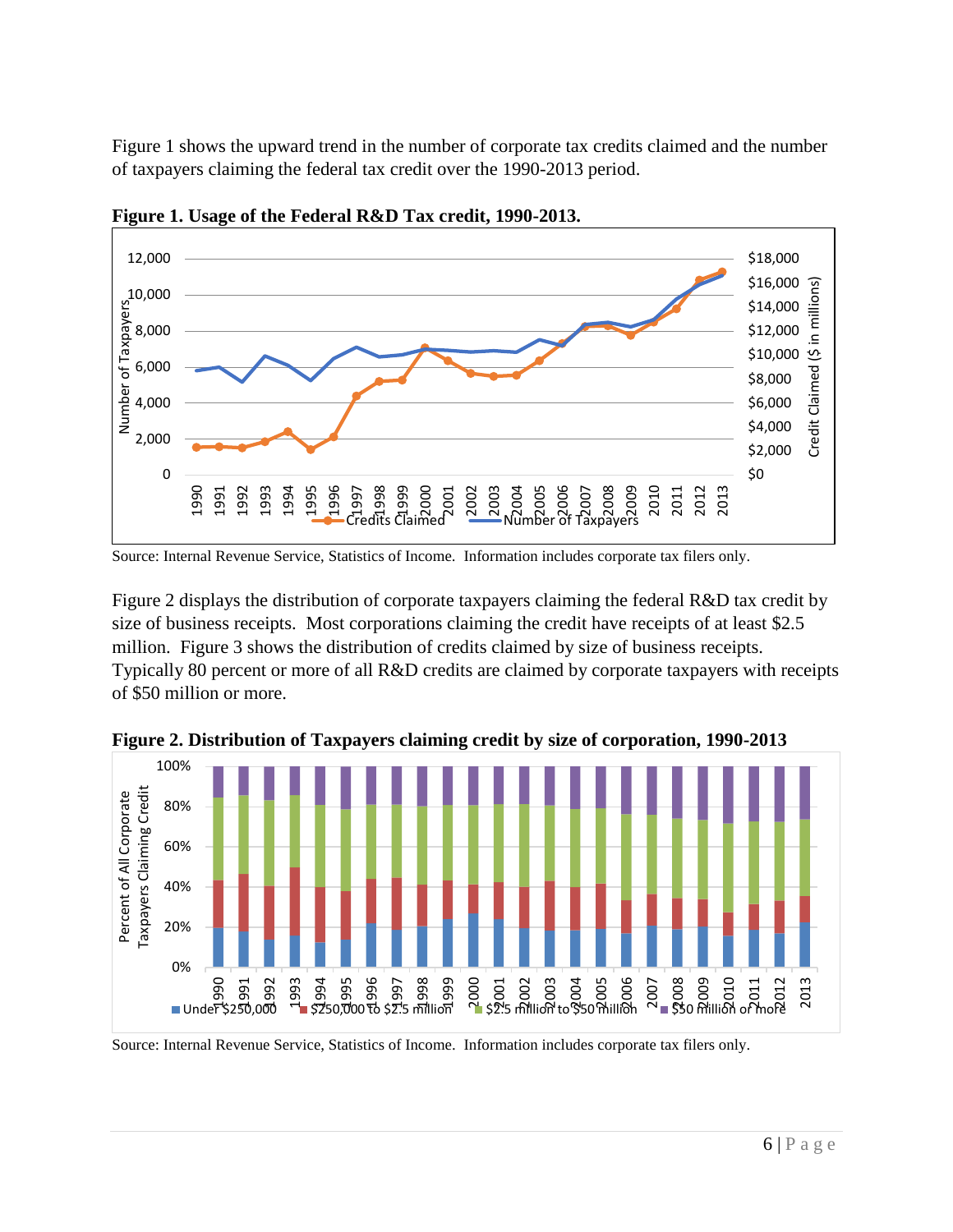Figure 1 shows the upward trend in the number of corporate tax credits claimed and the number of taxpayers claiming the federal tax credit over the 1990-2013 period.



**Figure 1. Usage of the Federal R&D Tax credit, 1990-2013.** 

Figure 2 displays the distribution of corporate taxpayers claiming the federal R&D tax credit by size of business receipts. Most corporations claiming the credit have receipts of at least \$2.5 million. Figure 3 shows the distribution of credits claimed by size of business receipts. Typically 80 percent or more of all R&D credits are claimed by corporate taxpayers with receipts of \$50 million or more.



**Figure 2. Distribution of Taxpayers claiming credit by size of corporation, 1990-2013**

Source: Internal Revenue Service, Statistics of Income. Information includes corporate tax filers only.

Source: Internal Revenue Service, Statistics of Income. Information includes corporate tax filers only.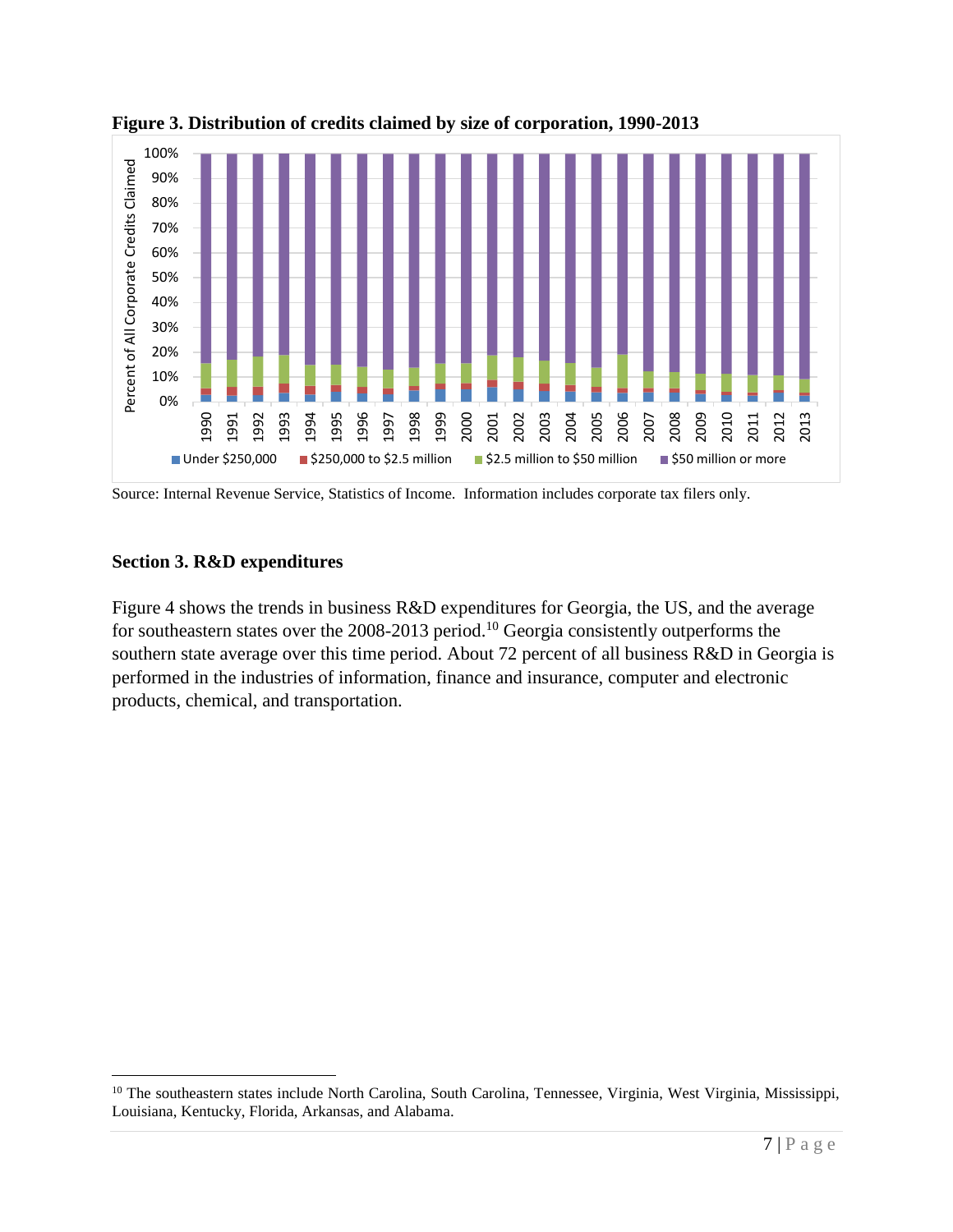



Source: Internal Revenue Service, Statistics of Income. Information includes corporate tax filers only.

## **Section 3. R&D expenditures**

 $\overline{a}$ 

Figure 4 shows the trends in business R&D expenditures for Georgia, the US, and the average for southeastern states over the 2008-2013 period.<sup>10</sup> Georgia consistently outperforms the southern state average over this time period. About 72 percent of all business R&D in Georgia is performed in the industries of information, finance and insurance, computer and electronic products, chemical, and transportation.

<sup>&</sup>lt;sup>10</sup> The southeastern states include North Carolina, South Carolina, Tennessee, Virginia, West Virginia, Mississippi, Louisiana, Kentucky, Florida, Arkansas, and Alabama.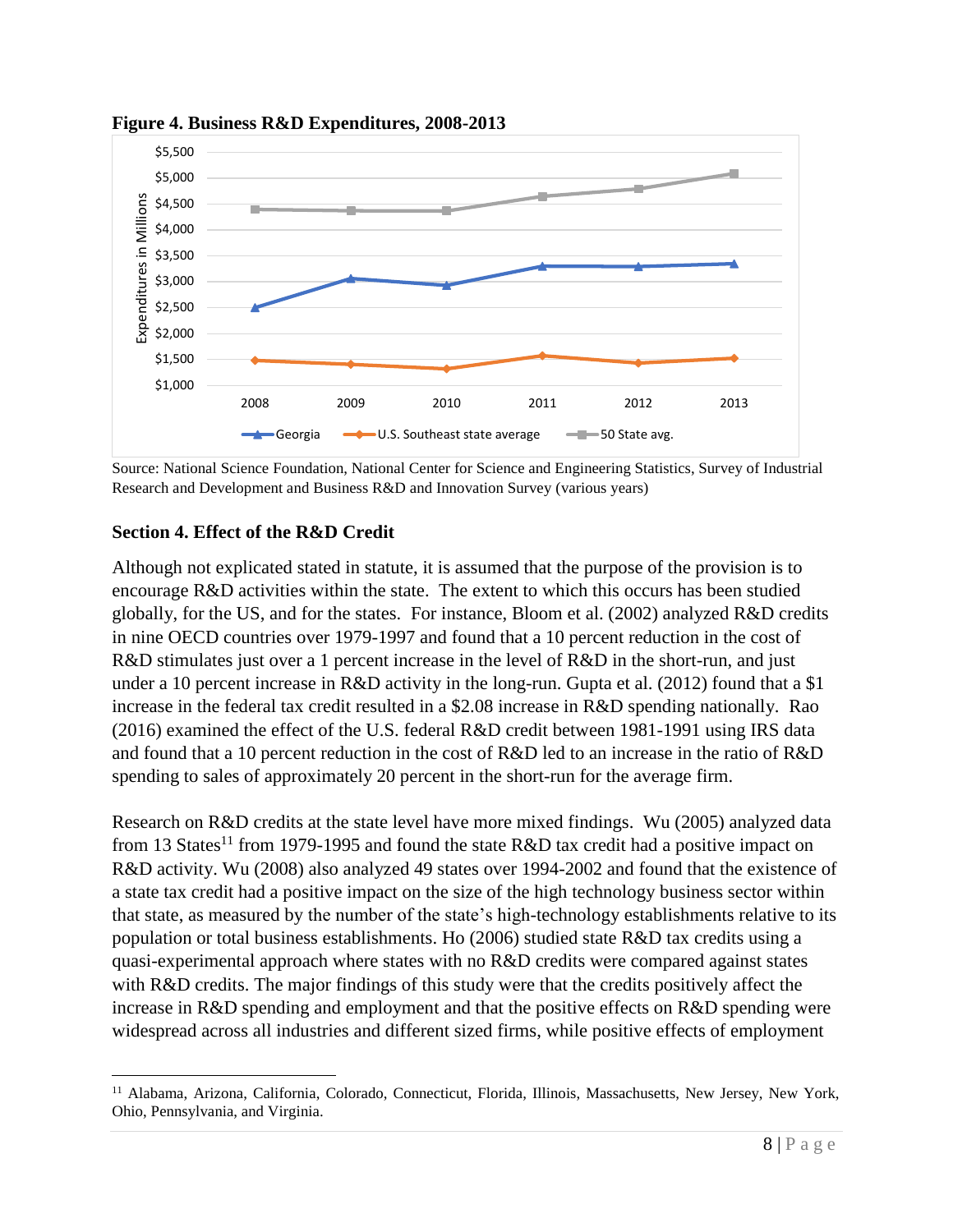

**Figure 4. Business R&D Expenditures, 2008-2013**

Source: National Science Foundation, National Center for Science and Engineering Statistics, Survey of Industrial Research and Development and Business R&D and Innovation Survey (various years)

## **Section 4. Effect of the R&D Credit**

 $\overline{a}$ 

Although not explicated stated in statute, it is assumed that the purpose of the provision is to encourage R&D activities within the state. The extent to which this occurs has been studied globally, for the US, and for the states. For instance, Bloom et al. (2002) analyzed R&D credits in nine OECD countries over 1979-1997 and found that a 10 percent reduction in the cost of R&D stimulates just over a 1 percent increase in the level of R&D in the short-run, and just under a 10 percent increase in R&D activity in the long-run. Gupta et al. (2012) found that a \$1 increase in the federal tax credit resulted in a \$2.08 increase in R&D spending nationally. Rao (2016) examined the effect of the U.S. federal R&D credit between 1981-1991 using IRS data and found that a 10 percent reduction in the cost of R&D led to an increase in the ratio of R&D spending to sales of approximately 20 percent in the short-run for the average firm.

Research on R&D credits at the state level have more mixed findings. Wu (2005) analyzed data from 13 States<sup>11</sup> from 1979-1995 and found the state R&D tax credit had a positive impact on R&D activity. Wu (2008) also analyzed 49 states over 1994-2002 and found that the existence of a state tax credit had a positive impact on the size of the high technology business sector within that state, as measured by the number of the state's high-technology establishments relative to its population or total business establishments. Ho (2006) studied state R&D tax credits using a quasi-experimental approach where states with no R&D credits were compared against states with R&D credits. The major findings of this study were that the credits positively affect the increase in R&D spending and employment and that the positive effects on R&D spending were widespread across all industries and different sized firms, while positive effects of employment

<sup>&</sup>lt;sup>11</sup> Alabama, Arizona, California, Colorado, Connecticut, Florida, Illinois, Massachusetts, New Jersey, New York, Ohio, Pennsylvania, and Virginia.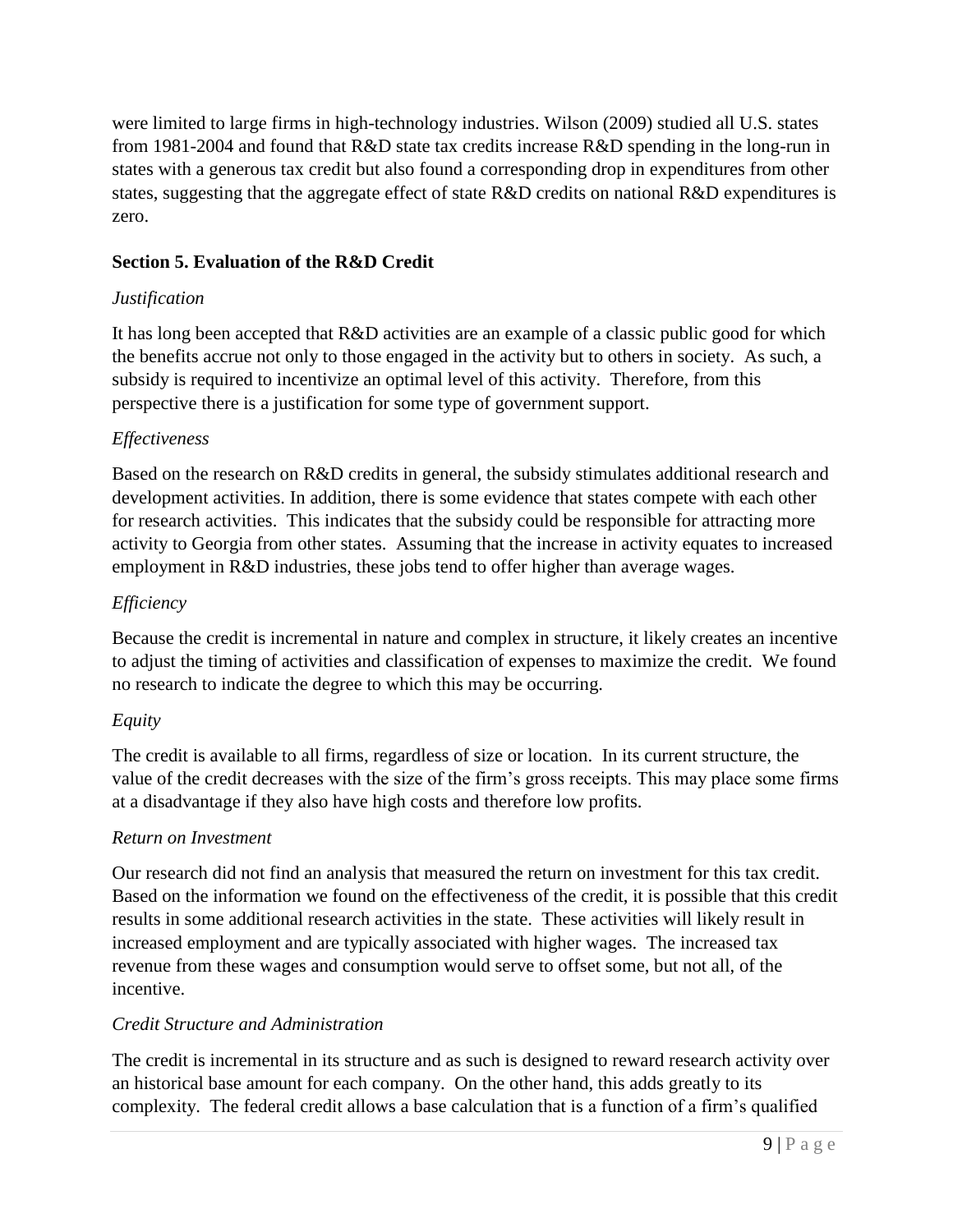were limited to large firms in high-technology industries. Wilson (2009) studied all U.S. states from 1981-2004 and found that R&D state tax credits increase R&D spending in the long-run in states with a generous tax credit but also found a corresponding drop in expenditures from other states, suggesting that the aggregate effect of state R&D credits on national R&D expenditures is zero.

# **Section 5. Evaluation of the R&D Credit**

## *Justification*

It has long been accepted that R&D activities are an example of a classic public good for which the benefits accrue not only to those engaged in the activity but to others in society. As such, a subsidy is required to incentivize an optimal level of this activity. Therefore, from this perspective there is a justification for some type of government support.

# *Effectiveness*

Based on the research on R&D credits in general, the subsidy stimulates additional research and development activities. In addition, there is some evidence that states compete with each other for research activities. This indicates that the subsidy could be responsible for attracting more activity to Georgia from other states. Assuming that the increase in activity equates to increased employment in R&D industries, these jobs tend to offer higher than average wages.

# *Efficiency*

Because the credit is incremental in nature and complex in structure, it likely creates an incentive to adjust the timing of activities and classification of expenses to maximize the credit. We found no research to indicate the degree to which this may be occurring.

## *Equity*

The credit is available to all firms, regardless of size or location. In its current structure, the value of the credit decreases with the size of the firm's gross receipts. This may place some firms at a disadvantage if they also have high costs and therefore low profits.

## *Return on Investment*

Our research did not find an analysis that measured the return on investment for this tax credit. Based on the information we found on the effectiveness of the credit, it is possible that this credit results in some additional research activities in the state. These activities will likely result in increased employment and are typically associated with higher wages. The increased tax revenue from these wages and consumption would serve to offset some, but not all, of the incentive.

## *Credit Structure and Administration*

The credit is incremental in its structure and as such is designed to reward research activity over an historical base amount for each company. On the other hand, this adds greatly to its complexity. The federal credit allows a base calculation that is a function of a firm's qualified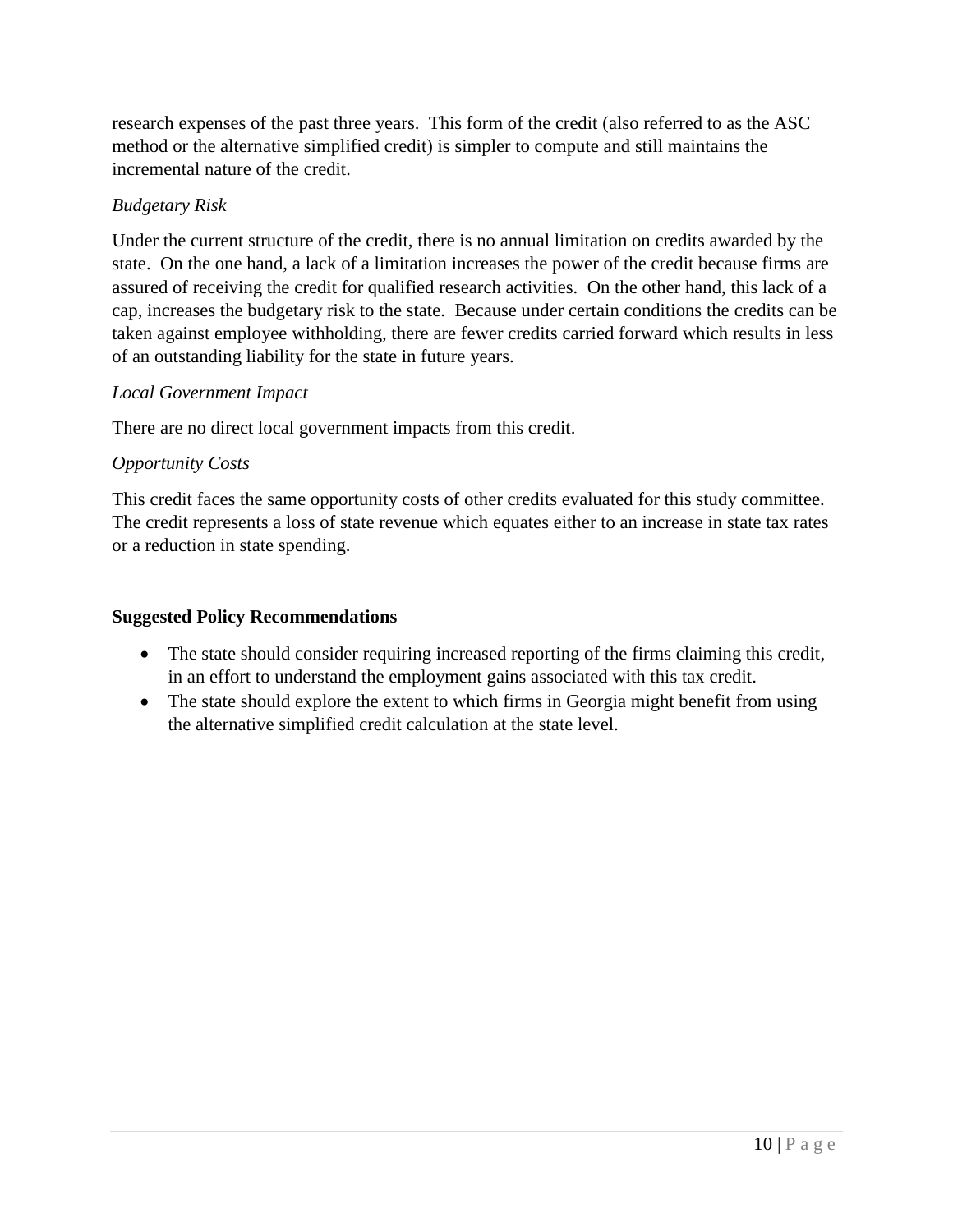research expenses of the past three years. This form of the credit (also referred to as the ASC method or the alternative simplified credit) is simpler to compute and still maintains the incremental nature of the credit.

# *Budgetary Risk*

Under the current structure of the credit, there is no annual limitation on credits awarded by the state. On the one hand, a lack of a limitation increases the power of the credit because firms are assured of receiving the credit for qualified research activities. On the other hand, this lack of a cap, increases the budgetary risk to the state. Because under certain conditions the credits can be taken against employee withholding, there are fewer credits carried forward which results in less of an outstanding liability for the state in future years.

## *Local Government Impact*

There are no direct local government impacts from this credit.

# *Opportunity Costs*

This credit faces the same opportunity costs of other credits evaluated for this study committee. The credit represents a loss of state revenue which equates either to an increase in state tax rates or a reduction in state spending.

## **Suggested Policy Recommendations**

- The state should consider requiring increased reporting of the firms claiming this credit, in an effort to understand the employment gains associated with this tax credit.
- The state should explore the extent to which firms in Georgia might benefit from using the alternative simplified credit calculation at the state level.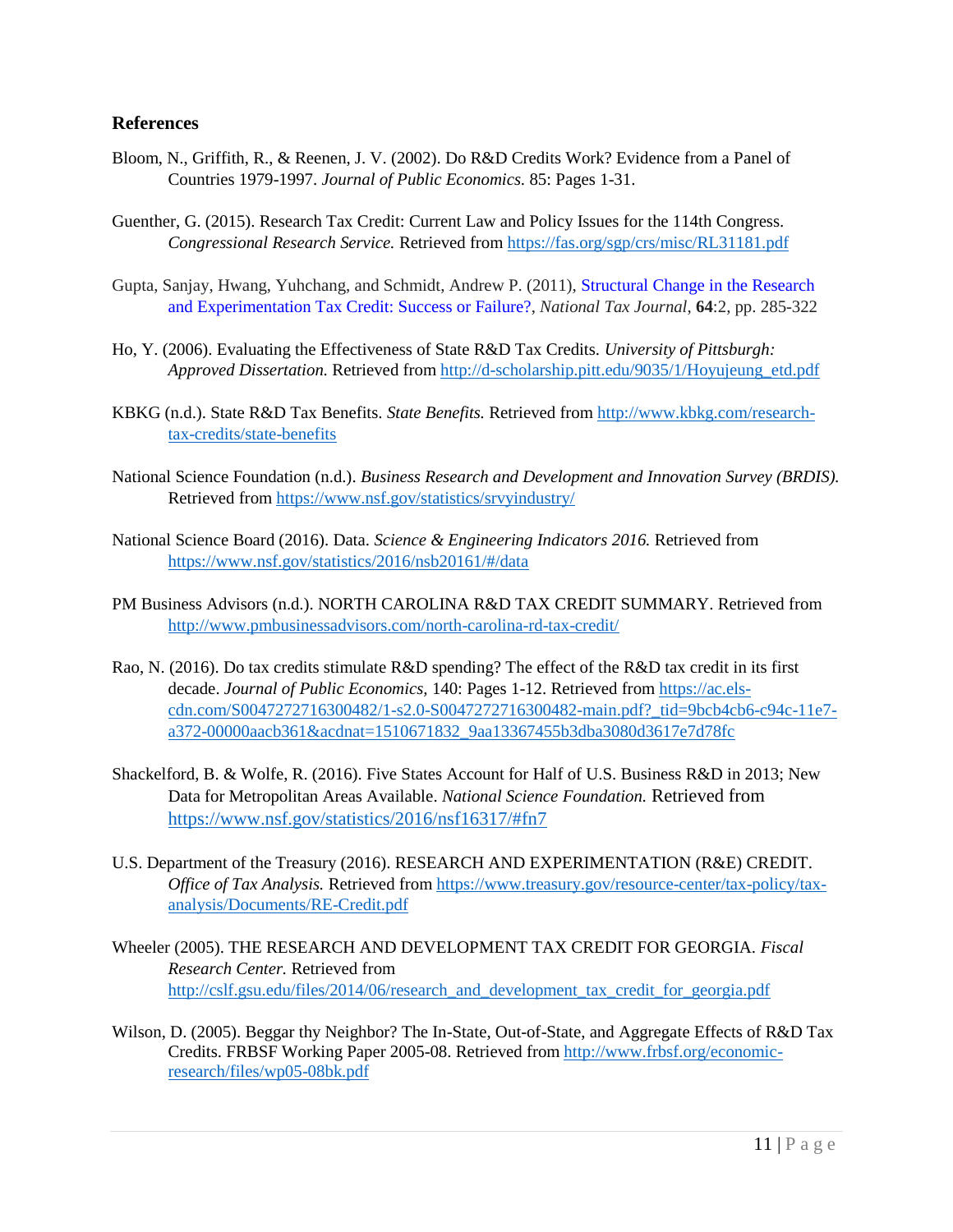#### **References**

- Bloom, N., Griffith, R., & Reenen, J. V. (2002). Do R&D Credits Work? Evidence from a Panel of Countries 1979-1997. *Journal of Public Economics.* 85: Pages 1-31.
- Guenther, G. (2015). Research Tax Credit: Current Law and Policy Issues for the 114th Congress. *Congressional Research Service.* Retrieved from<https://fas.org/sgp/crs/misc/RL31181.pdf>
- Gupta, Sanjay, Hwang, Yuhchang, and Schmidt, Andrew P. (2011), [Structural Change in the Research](https://www.ntanet.org/NTJ/64/2/ntj-v64n02p285-322-structural-change-research-experimentation.pdf?v=%CE%B1&r=08527876368996612)  [and Experimentation Tax Credit: Success or Failure?,](https://www.ntanet.org/NTJ/64/2/ntj-v64n02p285-322-structural-change-research-experimentation.pdf?v=%CE%B1&r=08527876368996612) *National Tax Journal*, **64**:2, pp. 285-322
- Ho, Y. (2006). Evaluating the Effectiveness of State R&D Tax Credits. *University of Pittsburgh: Approved Dissertation.* Retrieved from [http://d-scholarship.pitt.edu/9035/1/Hoyujeung\\_etd.pdf](http://d-scholarship.pitt.edu/9035/1/Hoyujeung_etd.pdf)
- KBKG (n.d.). State R&D Tax Benefits. *State Benefits.* Retrieved from [http://www.kbkg.com/research](http://www.kbkg.com/research-tax-credits/state-benefits)[tax-credits/state-benefits](http://www.kbkg.com/research-tax-credits/state-benefits)
- National Science Foundation (n.d.). *Business Research and Development and Innovation Survey (BRDIS).*  Retrieved fro[m https://www.nsf.gov/statistics/srvyindustry/](https://www.nsf.gov/statistics/srvyindustry/)
- National Science Board (2016). Data. *Science & Engineering Indicators 2016.* Retrieved from <https://www.nsf.gov/statistics/2016/nsb20161/#/data>
- PM Business Advisors (n.d.). NORTH CAROLINA R&D TAX CREDIT SUMMARY. Retrieved from <http://www.pmbusinessadvisors.com/north-carolina-rd-tax-credit/>
- Rao, N. (2016). Do tax credits stimulate R&D spending? The effect of the R&D tax credit in its first decade. *Journal of Public Economics,* 140: Pages 1-12. Retrieved fro[m https://ac.els](https://ac.els-cdn.com/S0047272716300482/1-s2.0-S0047272716300482-main.pdf?_tid=9bcb4cb6-c94c-11e7-a372-00000aacb361&acdnat=1510671832_9aa13367455b3dba3080d3617e7d78fc)[cdn.com/S0047272716300482/1-s2.0-S0047272716300482-main.pdf?\\_tid=9bcb4cb6-c94c-11e7](https://ac.els-cdn.com/S0047272716300482/1-s2.0-S0047272716300482-main.pdf?_tid=9bcb4cb6-c94c-11e7-a372-00000aacb361&acdnat=1510671832_9aa13367455b3dba3080d3617e7d78fc) [a372-00000aacb361&acdnat=1510671832\\_9aa13367455b3dba3080d3617e7d78fc](https://ac.els-cdn.com/S0047272716300482/1-s2.0-S0047272716300482-main.pdf?_tid=9bcb4cb6-c94c-11e7-a372-00000aacb361&acdnat=1510671832_9aa13367455b3dba3080d3617e7d78fc)
- Shackelford, B. & Wolfe, R. (2016). Five States Account for Half of U.S. Business R&D in 2013; New Data for Metropolitan Areas Available. *National Science Foundation.* Retrieved from <https://www.nsf.gov/statistics/2016/nsf16317/#fn7>
- U.S. Department of the Treasury (2016). RESEARCH AND EXPERIMENTATION (R&E) CREDIT. *Office of Tax Analysis.* Retrieved fro[m https://www.treasury.gov/resource-center/tax-policy/tax](https://www.treasury.gov/resource-center/tax-policy/tax-analysis/Documents/RE-Credit.pdf)[analysis/Documents/RE-Credit.pdf](https://www.treasury.gov/resource-center/tax-policy/tax-analysis/Documents/RE-Credit.pdf)
- Wheeler (2005). THE RESEARCH AND DEVELOPMENT TAX CREDIT FOR GEORGIA. *Fiscal Research Center.* Retrieved from [http://cslf.gsu.edu/files/2014/06/research\\_and\\_development\\_tax\\_credit\\_for\\_georgia.pdf](http://cslf.gsu.edu/files/2014/06/research_and_development_tax_credit_for_georgia.pdf)
- Wilson, D. (2005). Beggar thy Neighbor? The In-State, Out-of-State, and Aggregate Effects of R&D Tax Credits. FRBSF Working Paper 2005-08. Retrieved from [http://www.frbsf.org/economic](http://www.frbsf.org/economic-research/files/wp05-08bk.pdf)[research/files/wp05-08bk.pdf](http://www.frbsf.org/economic-research/files/wp05-08bk.pdf)